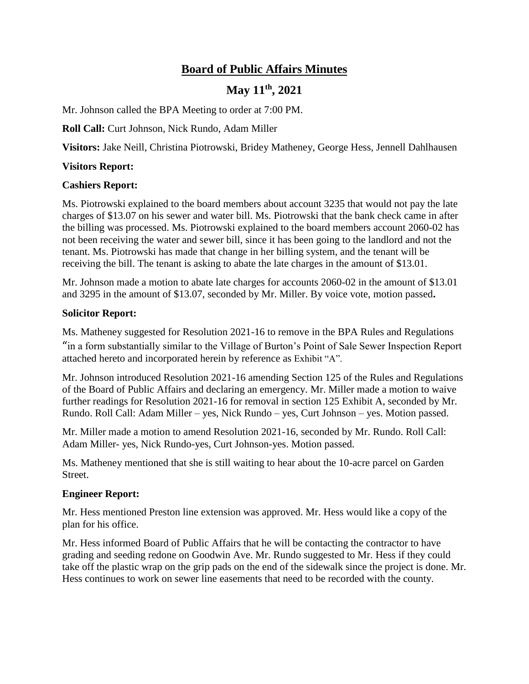# **Board of Public Affairs Minutes**

# **May 11th, 2021**

Mr. Johnson called the BPA Meeting to order at 7:00 PM.

**Roll Call:** Curt Johnson, Nick Rundo, Adam Miller

**Visitors:** Jake Neill, Christina Piotrowski, Bridey Matheney, George Hess, Jennell Dahlhausen

### **Visitors Report:**

### **Cashiers Report:**

Ms. Piotrowski explained to the board members about account 3235 that would not pay the late charges of \$13.07 on his sewer and water bill. Ms. Piotrowski that the bank check came in after the billing was processed. Ms. Piotrowski explained to the board members account 2060-02 has not been receiving the water and sewer bill, since it has been going to the landlord and not the tenant. Ms. Piotrowski has made that change in her billing system, and the tenant will be receiving the bill. The tenant is asking to abate the late charges in the amount of \$13.01.

Mr. Johnson made a motion to abate late charges for accounts 2060-02 in the amount of \$13.01 and 3295 in the amount of \$13.07, seconded by Mr. Miller. By voice vote, motion passed**.**

### **Solicitor Report:**

Ms. Matheney suggested for Resolution 2021-16 to remove in the BPA Rules and Regulations "in a form substantially similar to the Village of Burton's Point of Sale Sewer Inspection Report attached hereto and incorporated herein by reference as Exhibit "A".

Mr. Johnson introduced Resolution 2021-16 amending Section 125 of the Rules and Regulations of the Board of Public Affairs and declaring an emergency. Mr. Miller made a motion to waive further readings for Resolution 2021-16 for removal in section 125 Exhibit A, seconded by Mr. Rundo. Roll Call: Adam Miller – yes, Nick Rundo – yes, Curt Johnson – yes. Motion passed.

Mr. Miller made a motion to amend Resolution 2021-16, seconded by Mr. Rundo. Roll Call: Adam Miller- yes, Nick Rundo-yes, Curt Johnson-yes. Motion passed.

Ms. Matheney mentioned that she is still waiting to hear about the 10-acre parcel on Garden Street.

#### **Engineer Report:**

Mr. Hess mentioned Preston line extension was approved. Mr. Hess would like a copy of the plan for his office.

Mr. Hess informed Board of Public Affairs that he will be contacting the contractor to have grading and seeding redone on Goodwin Ave. Mr. Rundo suggested to Mr. Hess if they could take off the plastic wrap on the grip pads on the end of the sidewalk since the project is done. Mr. Hess continues to work on sewer line easements that need to be recorded with the county.